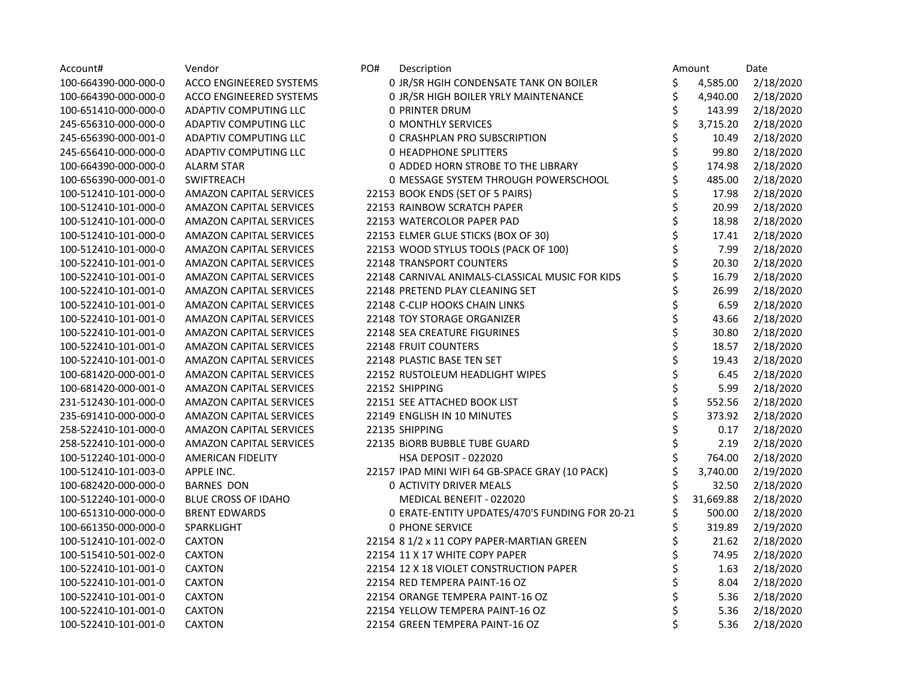| Account#             | Vendor                         | PO#<br>Description                              |    | Amount    | Date      |
|----------------------|--------------------------------|-------------------------------------------------|----|-----------|-----------|
| 100-664390-000-000-0 | ACCO ENGINEERED SYSTEMS        | 0 JR/SR HGIH CONDENSATE TANK ON BOILER          | \$ | 4,585.00  | 2/18/2020 |
| 100-664390-000-000-0 | ACCO ENGINEERED SYSTEMS        | 0 JR/SR HIGH BOILER YRLY MAINTENANCE            | \$ | 4,940.00  | 2/18/2020 |
| 100-651410-000-000-0 | ADAPTIV COMPUTING LLC          | <b>0 PRINTER DRUM</b>                           | \$ | 143.99    | 2/18/2020 |
| 245-656310-000-000-0 | ADAPTIV COMPUTING LLC          | <b>0 MONTHLY SERVICES</b>                       | \$ | 3,715.20  | 2/18/2020 |
| 245-656390-000-001-0 | ADAPTIV COMPUTING LLC          | O CRASHPLAN PRO SUBSCRIPTION                    | \$ | 10.49     | 2/18/2020 |
| 245-656410-000-000-0 | ADAPTIV COMPUTING LLC          | <b>0 HEADPHONE SPLITTERS</b>                    | \$ | 99.80     | 2/18/2020 |
| 100-664390-000-000-0 | <b>ALARM STAR</b>              | 0 ADDED HORN STROBE TO THE LIBRARY              | \$ | 174.98    | 2/18/2020 |
| 100-656390-000-001-0 | SWIFTREACH                     | 0 MESSAGE SYSTEM THROUGH POWERSCHOOL            | \$ | 485.00    | 2/18/2020 |
| 100-512410-101-000-0 | <b>AMAZON CAPITAL SERVICES</b> | 22153 BOOK ENDS (SET OF 5 PAIRS)                | \$ | 17.98     | 2/18/2020 |
| 100-512410-101-000-0 | AMAZON CAPITAL SERVICES        | 22153 RAINBOW SCRATCH PAPER                     | \$ | 20.99     | 2/18/2020 |
| 100-512410-101-000-0 | <b>AMAZON CAPITAL SERVICES</b> | 22153 WATERCOLOR PAPER PAD                      | \$ | 18.98     | 2/18/2020 |
| 100-512410-101-000-0 | <b>AMAZON CAPITAL SERVICES</b> | 22153 ELMER GLUE STICKS (BOX OF 30)             | \$ | 17.41     | 2/18/2020 |
| 100-512410-101-000-0 | AMAZON CAPITAL SERVICES        | 22153 WOOD STYLUS TOOLS (PACK OF 100)           | \$ | 7.99      | 2/18/2020 |
| 100-522410-101-001-0 | <b>AMAZON CAPITAL SERVICES</b> | 22148 TRANSPORT COUNTERS                        | \$ | 20.30     | 2/18/2020 |
| 100-522410-101-001-0 | <b>AMAZON CAPITAL SERVICES</b> | 22148 CARNIVAL ANIMALS-CLASSICAL MUSIC FOR KIDS | \$ | 16.79     | 2/18/2020 |
| 100-522410-101-001-0 | AMAZON CAPITAL SERVICES        | 22148 PRETEND PLAY CLEANING SET                 | \$ | 26.99     | 2/18/2020 |
| 100-522410-101-001-0 | <b>AMAZON CAPITAL SERVICES</b> | 22148 C-CLIP HOOKS CHAIN LINKS                  | \$ | 6.59      | 2/18/2020 |
| 100-522410-101-001-0 | AMAZON CAPITAL SERVICES        | 22148 TOY STORAGE ORGANIZER                     | \$ | 43.66     | 2/18/2020 |
| 100-522410-101-001-0 | <b>AMAZON CAPITAL SERVICES</b> | 22148 SEA CREATURE FIGURINES                    | \$ | 30.80     | 2/18/2020 |
| 100-522410-101-001-0 | <b>AMAZON CAPITAL SERVICES</b> | 22148 FRUIT COUNTERS                            | \$ | 18.57     | 2/18/2020 |
| 100-522410-101-001-0 | <b>AMAZON CAPITAL SERVICES</b> | 22148 PLASTIC BASE TEN SET                      | Ś  | 19.43     | 2/18/2020 |
| 100-681420-000-001-0 | <b>AMAZON CAPITAL SERVICES</b> | 22152 RUSTOLEUM HEADLIGHT WIPES                 | \$ | 6.45      | 2/18/2020 |
| 100-681420-000-001-0 | <b>AMAZON CAPITAL SERVICES</b> | 22152 SHIPPING                                  | \$ | 5.99      | 2/18/2020 |
| 231-512430-101-000-0 | <b>AMAZON CAPITAL SERVICES</b> | 22151 SEE ATTACHED BOOK LIST                    | \$ | 552.56    | 2/18/2020 |
| 235-691410-000-000-0 | AMAZON CAPITAL SERVICES        | 22149 ENGLISH IN 10 MINUTES                     | \$ | 373.92    | 2/18/2020 |
| 258-522410-101-000-0 | <b>AMAZON CAPITAL SERVICES</b> | 22135 SHIPPING                                  | \$ | 0.17      | 2/18/2020 |
| 258-522410-101-000-0 | <b>AMAZON CAPITAL SERVICES</b> | 22135 BIORB BUBBLE TUBE GUARD                   | \$ | 2.19      | 2/18/2020 |
| 100-512240-101-000-0 | <b>AMERICAN FIDELITY</b>       | HSA DEPOSIT - 022020                            | \$ | 764.00    | 2/18/2020 |
| 100-512410-101-003-0 | APPLE INC.                     | 22157 IPAD MINI WIFI 64 GB-SPACE GRAY (10 PACK) | \$ | 3,740.00  | 2/19/2020 |
| 100-682420-000-000-0 | <b>BARNES DON</b>              | <b>0 ACTIVITY DRIVER MEALS</b>                  |    | 32.50     | 2/18/2020 |
| 100-512240-101-000-0 | <b>BLUE CROSS OF IDAHO</b>     | MEDICAL BENEFIT - 022020                        | \$ | 31,669.88 | 2/18/2020 |
| 100-651310-000-000-0 | <b>BRENT EDWARDS</b>           | 0 ERATE-ENTITY UPDATES/470'S FUNDING FOR 20-21  | \$ | 500.00    | 2/18/2020 |
| 100-661350-000-000-0 | SPARKLIGHT                     | <b>0 PHONE SERVICE</b>                          | \$ | 319.89    | 2/19/2020 |
| 100-512410-101-002-0 | <b>CAXTON</b>                  | 22154 8 1/2 x 11 COPY PAPER-MARTIAN GREEN       | \$ | 21.62     | 2/18/2020 |
| 100-515410-501-002-0 | <b>CAXTON</b>                  | 22154 11 X 17 WHITE COPY PAPER                  | \$ | 74.95     | 2/18/2020 |
| 100-522410-101-001-0 | <b>CAXTON</b>                  | 22154 12 X 18 VIOLET CONSTRUCTION PAPER         | \$ | 1.63      | 2/18/2020 |
| 100-522410-101-001-0 | <b>CAXTON</b>                  | 22154 RED TEMPERA PAINT-16 OZ                   | \$ | 8.04      | 2/18/2020 |
| 100-522410-101-001-0 | <b>CAXTON</b>                  | 22154 ORANGE TEMPERA PAINT-16 OZ                | \$ | 5.36      | 2/18/2020 |
| 100-522410-101-001-0 | <b>CAXTON</b>                  | 22154 YELLOW TEMPERA PAINT-16 OZ                | \$ | 5.36      | 2/18/2020 |
| 100-522410-101-001-0 | <b>CAXTON</b>                  | 22154 GREEN TEMPERA PAINT-16 OZ                 | \$ | 5.36      | 2/18/2020 |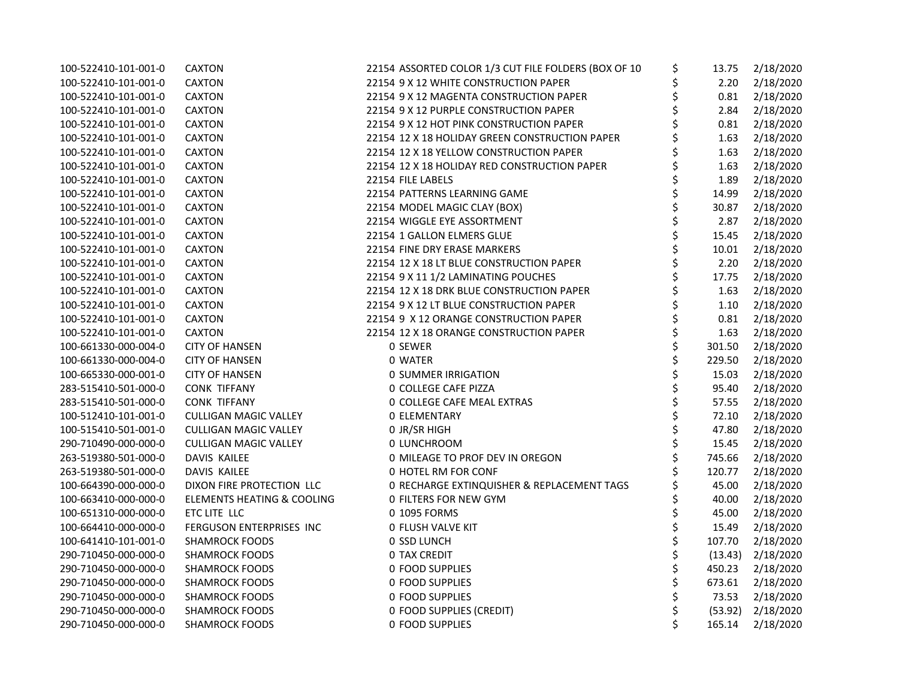| 100-522410-101-001-0 | <b>CAXTON</b>                         | 22154 ASSORTED COLOR 1/3 CUT FILE FOLDERS (BOX OF 10 | \$<br>13.75  | 2/18/2020             |
|----------------------|---------------------------------------|------------------------------------------------------|--------------|-----------------------|
| 100-522410-101-001-0 | <b>CAXTON</b>                         | 22154 9 X 12 WHITE CONSTRUCTION PAPER                | \$<br>2.20   | 2/18/2020             |
| 100-522410-101-001-0 | <b>CAXTON</b>                         | 22154 9 X 12 MAGENTA CONSTRUCTION PAPER              | 0.81         | 2/18/2020             |
| 100-522410-101-001-0 | <b>CAXTON</b>                         | 22154 9 X 12 PURPLE CONSTRUCTION PAPER               | 2.84         | 2/18/2020             |
| 100-522410-101-001-0 | <b>CAXTON</b>                         | 22154 9 X 12 HOT PINK CONSTRUCTION PAPER             | 0.81         | 2/18/2020             |
| 100-522410-101-001-0 | CAXTON                                | 22154 12 X 18 HOLIDAY GREEN CONSTRUCTION PAPER       | 1.63         | 2/18/2020             |
| 100-522410-101-001-0 | <b>CAXTON</b>                         | 22154 12 X 18 YELLOW CONSTRUCTION PAPER              | 1.63         | 2/18/2020             |
| 100-522410-101-001-0 | <b>CAXTON</b>                         | 22154 12 X 18 HOLIDAY RED CONSTRUCTION PAPER         | 1.63         | 2/18/2020             |
| 100-522410-101-001-0 | <b>CAXTON</b>                         | 22154 FILE LABELS                                    | 1.89         | 2/18/2020             |
| 100-522410-101-001-0 | <b>CAXTON</b>                         | 22154 PATTERNS LEARNING GAME                         | \$<br>14.99  | 2/18/2020             |
| 100-522410-101-001-0 | <b>CAXTON</b>                         | 22154 MODEL MAGIC CLAY (BOX)                         | 30.87        | 2/18/2020             |
| 100-522410-101-001-0 | CAXTON                                | 22154 WIGGLE EYE ASSORTMENT                          | 2.87         | 2/18/2020             |
| 100-522410-101-001-0 | <b>CAXTON</b>                         | 22154 1 GALLON ELMERS GLUE                           | 15.45        | 2/18/2020             |
| 100-522410-101-001-0 | <b>CAXTON</b>                         | 22154 FINE DRY ERASE MARKERS                         | 10.01        | 2/18/2020             |
| 100-522410-101-001-0 | <b>CAXTON</b>                         | 22154 12 X 18 LT BLUE CONSTRUCTION PAPER             | 2.20         | 2/18/2020             |
| 100-522410-101-001-0 | CAXTON                                | 22154 9 X 11 1/2 LAMINATING POUCHES                  | 17.75        | 2/18/2020             |
| 100-522410-101-001-0 | CAXTON                                | 22154 12 X 18 DRK BLUE CONSTRUCTION PAPER            | 1.63         | 2/18/2020             |
| 100-522410-101-001-0 | <b>CAXTON</b>                         | 22154 9 X 12 LT BLUE CONSTRUCTION PAPER              | 1.10         | 2/18/2020             |
| 100-522410-101-001-0 | <b>CAXTON</b>                         | 22154 9 X 12 ORANGE CONSTRUCTION PAPER               | 0.81         | 2/18/2020             |
| 100-522410-101-001-0 | <b>CAXTON</b>                         | 22154 12 X 18 ORANGE CONSTRUCTION PAPER              | 1.63         | 2/18/2020             |
| 100-661330-000-004-0 | <b>CITY OF HANSEN</b>                 | 0 SEWER                                              | \$<br>301.50 | 2/18/2020             |
| 100-661330-000-004-0 | <b>CITY OF HANSEN</b>                 | 0 WATER                                              | 229.50       | 2/18/2020             |
| 100-665330-000-001-0 | <b>CITY OF HANSEN</b>                 | <b>0 SUMMER IRRIGATION</b>                           | 15.03        | 2/18/2020             |
| 283-515410-501-000-0 | <b>CONK TIFFANY</b>                   | 0 COLLEGE CAFE PIZZA                                 | 95.40        | 2/18/2020             |
| 283-515410-501-000-0 | <b>CONK TIFFANY</b>                   | 0 COLLEGE CAFE MEAL EXTRAS                           | 57.55        | 2/18/2020             |
| 100-512410-101-001-0 | <b>CULLIGAN MAGIC VALLEY</b>          | <b>0 ELEMENTARY</b>                                  | \$<br>72.10  | 2/18/2020             |
| 100-515410-501-001-0 | <b>CULLIGAN MAGIC VALLEY</b>          | 0 JR/SR HIGH                                         | 47.80        | 2/18/2020             |
| 290-710490-000-000-0 | <b>CULLIGAN MAGIC VALLEY</b>          | 0 LUNCHROOM                                          | 15.45        | 2/18/2020             |
| 263-519380-501-000-0 | DAVIS KAILEE                          | 0 MILEAGE TO PROF DEV IN OREGON                      | 745.66       | 2/18/2020             |
| 263-519380-501-000-0 | DAVIS KAILEE                          | 0 HOTEL RM FOR CONF                                  | 120.77       | 2/18/2020             |
| 100-664390-000-000-0 | DIXON FIRE PROTECTION LLC             | 0 RECHARGE EXTINQUISHER & REPLACEMENT TAGS           | 45.00        | 2/18/2020             |
| 100-663410-000-000-0 | <b>ELEMENTS HEATING &amp; COOLING</b> | 0 FILTERS FOR NEW GYM                                | 40.00        | 2/18/2020             |
| 100-651310-000-000-0 | ETC LITE LLC                          | 0 1095 FORMS                                         | 45.00        | 2/18/2020             |
| 100-664410-000-000-0 | FERGUSON ENTERPRISES INC              | <b>0 FLUSH VALVE KIT</b>                             | 15.49        | 2/18/2020             |
| 100-641410-101-001-0 | <b>SHAMROCK FOODS</b>                 | 0 SSD LUNCH                                          | 107.70       | 2/18/2020             |
| 290-710450-000-000-0 | <b>SHAMROCK FOODS</b>                 | <b>0 TAX CREDIT</b>                                  | (13.43)      | 2/18/2020             |
| 290-710450-000-000-0 | <b>SHAMROCK FOODS</b>                 | 0 FOOD SUPPLIES                                      | 450.23       | 2/18/2020             |
| 290-710450-000-000-0 | <b>SHAMROCK FOODS</b>                 | <b>0 FOOD SUPPLIES</b>                               | 673.61       | 2/18/2020             |
| 290-710450-000-000-0 | <b>SHAMROCK FOODS</b>                 | 0 FOOD SUPPLIES                                      | 73.53        | 2/18/2020             |
| 290-710450-000-000-0 | <b>SHAMROCK FOODS</b>                 | 0 FOOD SUPPLIES (CREDIT)                             |              | $(53.92)$ $2/18/2020$ |
| 290-710450-000-000-0 | <b>SHAMROCK FOODS</b>                 | 0 FOOD SUPPLIES                                      | 165.14       | 2/18/2020             |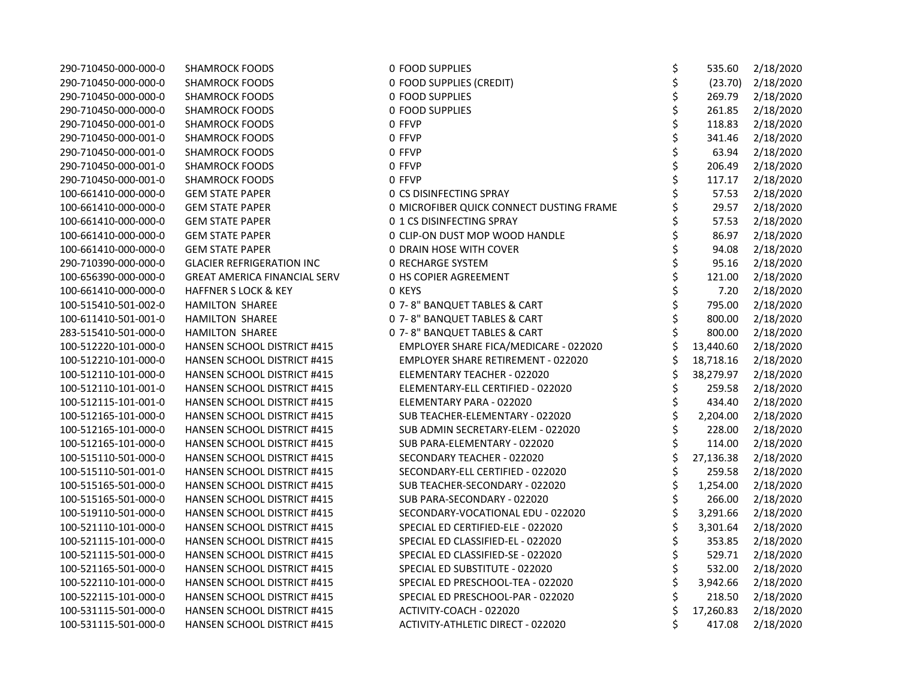| 290-710450-000-000-0 | <b>SHAMROCK FOODS</b>               | 0 FOOD SUPPLIES                           | \$<br>535.60    | 2/18/2020 |
|----------------------|-------------------------------------|-------------------------------------------|-----------------|-----------|
| 290-710450-000-000-0 | <b>SHAMROCK FOODS</b>               | 0 FOOD SUPPLIES (CREDIT)                  | \$<br>(23.70)   | 2/18/2020 |
| 290-710450-000-000-0 | <b>SHAMROCK FOODS</b>               | <b>0 FOOD SUPPLIES</b>                    | \$<br>269.79    | 2/18/2020 |
| 290-710450-000-000-0 | <b>SHAMROCK FOODS</b>               | <b>0 FOOD SUPPLIES</b>                    | \$<br>261.85    | 2/18/2020 |
| 290-710450-000-001-0 | <b>SHAMROCK FOODS</b>               | 0 FFVP                                    | \$<br>118.83    | 2/18/2020 |
| 290-710450-000-001-0 | <b>SHAMROCK FOODS</b>               | 0 FFVP                                    | \$<br>341.46    | 2/18/2020 |
| 290-710450-000-001-0 | <b>SHAMROCK FOODS</b>               | 0 FFVP                                    | \$<br>63.94     | 2/18/2020 |
| 290-710450-000-001-0 | <b>SHAMROCK FOODS</b>               | 0 FFVP                                    | \$<br>206.49    | 2/18/2020 |
| 290-710450-000-001-0 | <b>SHAMROCK FOODS</b>               | 0 FFVP                                    | \$<br>117.17    | 2/18/2020 |
| 100-661410-000-000-0 | <b>GEM STATE PAPER</b>              | <b>0 CS DISINFECTING SPRAY</b>            | \$<br>57.53     | 2/18/2020 |
| 100-661410-000-000-0 | <b>GEM STATE PAPER</b>              | 0 MICROFIBER QUICK CONNECT DUSTING FRAME  | \$<br>29.57     | 2/18/2020 |
| 100-661410-000-000-0 | <b>GEM STATE PAPER</b>              | 0 1 CS DISINFECTING SPRAY                 | 57.53           | 2/18/2020 |
| 100-661410-000-000-0 | <b>GEM STATE PAPER</b>              | 0 CLIP-ON DUST MOP WOOD HANDLE            | 86.97           | 2/18/2020 |
| 100-661410-000-000-0 | <b>GEM STATE PAPER</b>              | 0 DRAIN HOSE WITH COVER                   | \$<br>94.08     | 2/18/2020 |
| 290-710390-000-000-0 | <b>GLACIER REFRIGERATION INC</b>    | <b>0 RECHARGE SYSTEM</b>                  | \$<br>95.16     | 2/18/2020 |
| 100-656390-000-000-0 | <b>GREAT AMERICA FINANCIAL SERV</b> | 0 HS COPIER AGREEMENT                     | \$<br>121.00    | 2/18/2020 |
| 100-661410-000-000-0 | <b>HAFFNER S LOCK &amp; KEY</b>     | 0 KEYS                                    | \$<br>7.20      | 2/18/2020 |
| 100-515410-501-002-0 | HAMILTON SHAREE                     | 0 7-8" BANQUET TABLES & CART              | \$<br>795.00    | 2/18/2020 |
| 100-611410-501-001-0 | HAMILTON SHAREE                     | 0 7-8" BANQUET TABLES & CART              | \$<br>800.00    | 2/18/2020 |
| 283-515410-501-000-0 | <b>HAMILTON SHAREE</b>              | 0 7-8" BANQUET TABLES & CART              | \$<br>800.00    | 2/18/2020 |
| 100-512220-101-000-0 | HANSEN SCHOOL DISTRICT #415         | EMPLOYER SHARE FICA/MEDICARE - 022020     | 13,440.60       | 2/18/2020 |
| 100-512210-101-000-0 | <b>HANSEN SCHOOL DISTRICT #415</b>  | <b>EMPLOYER SHARE RETIREMENT - 022020</b> | \$<br>18,718.16 | 2/18/2020 |
| 100-512110-101-000-0 | HANSEN SCHOOL DISTRICT #415         | ELEMENTARY TEACHER - 022020               | \$<br>38,279.97 | 2/18/2020 |
| 100-512110-101-001-0 | <b>HANSEN SCHOOL DISTRICT #415</b>  | ELEMENTARY-ELL CERTIFIED - 022020         | \$<br>259.58    | 2/18/2020 |
| 100-512115-101-001-0 | <b>HANSEN SCHOOL DISTRICT #415</b>  | ELEMENTARY PARA - 022020                  | \$<br>434.40    | 2/18/2020 |
| 100-512165-101-000-0 | HANSEN SCHOOL DISTRICT #415         | SUB TEACHER-ELEMENTARY - 022020           | \$<br>2,204.00  | 2/18/2020 |
| 100-512165-101-000-0 | HANSEN SCHOOL DISTRICT #415         | SUB ADMIN SECRETARY-ELEM - 022020         | \$<br>228.00    | 2/18/2020 |
| 100-512165-101-000-0 | HANSEN SCHOOL DISTRICT #415         | SUB PARA-ELEMENTARY - 022020              | \$<br>114.00    | 2/18/2020 |
| 100-515110-501-000-0 | HANSEN SCHOOL DISTRICT #415         | SECONDARY TEACHER - 022020                | \$<br>27,136.38 | 2/18/2020 |
| 100-515110-501-001-0 | HANSEN SCHOOL DISTRICT #415         | SECONDARY-ELL CERTIFIED - 022020          | \$<br>259.58    | 2/18/2020 |
| 100-515165-501-000-0 | HANSEN SCHOOL DISTRICT #415         | SUB TEACHER-SECONDARY - 022020            | \$<br>1,254.00  | 2/18/2020 |
| 100-515165-501-000-0 | HANSEN SCHOOL DISTRICT #415         | SUB PARA-SECONDARY - 022020               | \$<br>266.00    | 2/18/2020 |
| 100-519110-501-000-0 | HANSEN SCHOOL DISTRICT #415         | SECONDARY-VOCATIONAL EDU - 022020         | \$<br>3,291.66  | 2/18/2020 |
| 100-521110-101-000-0 | <b>HANSEN SCHOOL DISTRICT #415</b>  | SPECIAL ED CERTIFIED-ELE - 022020         | \$<br>3,301.64  | 2/18/2020 |
| 100-521115-101-000-0 | HANSEN SCHOOL DISTRICT #415         | SPECIAL ED CLASSIFIED-EL - 022020         | \$<br>353.85    | 2/18/2020 |
| 100-521115-501-000-0 | HANSEN SCHOOL DISTRICT #415         | SPECIAL ED CLASSIFIED-SE - 022020         | \$<br>529.71    | 2/18/2020 |
| 100-521165-501-000-0 | <b>HANSEN SCHOOL DISTRICT #415</b>  | SPECIAL ED SUBSTITUTE - 022020            | \$<br>532.00    | 2/18/2020 |
| 100-522110-101-000-0 | HANSEN SCHOOL DISTRICT #415         | SPECIAL ED PRESCHOOL-TEA - 022020         | \$<br>3,942.66  | 2/18/2020 |
| 100-522115-101-000-0 | HANSEN SCHOOL DISTRICT #415         | SPECIAL ED PRESCHOOL-PAR - 022020         | \$<br>218.50    | 2/18/2020 |
| 100-531115-501-000-0 | HANSEN SCHOOL DISTRICT #415         | ACTIVITY-COACH - 022020                   | \$<br>17,260.83 | 2/18/2020 |
| 100-531115-501-000-0 | <b>HANSEN SCHOOL DISTRICT #415</b>  | ACTIVITY-ATHLETIC DIRECT - 022020         | \$<br>417.08    | 2/18/2020 |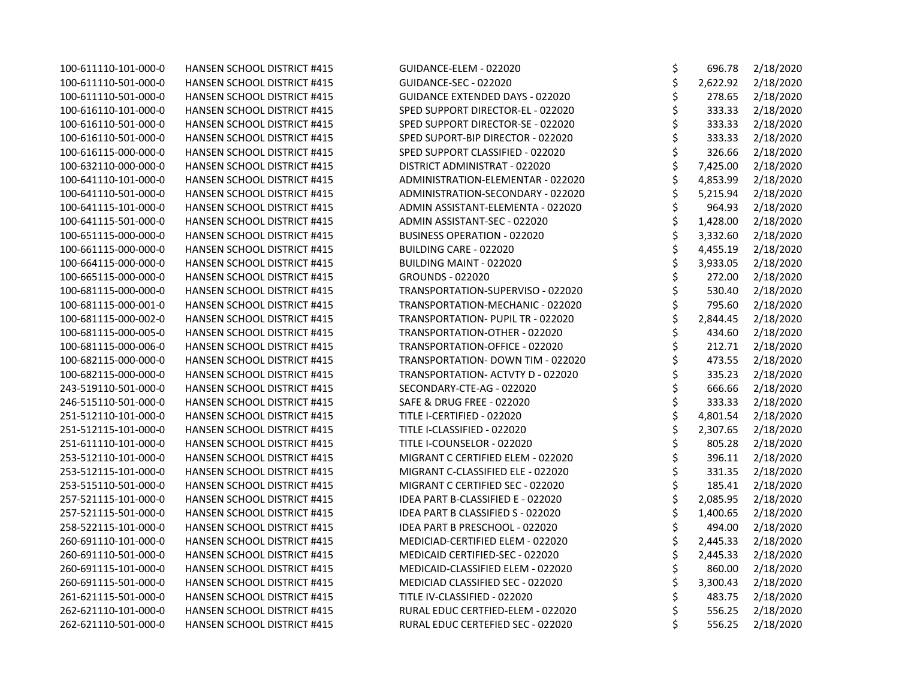| 100-611110-101-000-0 | HANSEN SCHOOL DISTRICT #415        | GUIDANCE-ELEM - 022020                 | \$<br>696.78   | 2/18/2020 |
|----------------------|------------------------------------|----------------------------------------|----------------|-----------|
| 100-611110-501-000-0 | HANSEN SCHOOL DISTRICT #415        | GUIDANCE-SEC - 022020                  | \$<br>2,622.92 | 2/18/2020 |
| 100-611110-501-000-0 | <b>HANSEN SCHOOL DISTRICT #415</b> | <b>GUIDANCE EXTENDED DAYS - 022020</b> | \$<br>278.65   | 2/18/2020 |
| 100-616110-101-000-0 | HANSEN SCHOOL DISTRICT #415        | SPED SUPPORT DIRECTOR-EL - 022020      | \$<br>333.33   | 2/18/2020 |
| 100-616110-501-000-0 | <b>HANSEN SCHOOL DISTRICT #415</b> | SPED SUPPORT DIRECTOR-SE - 022020      | \$<br>333.33   | 2/18/2020 |
| 100-616110-501-000-0 | <b>HANSEN SCHOOL DISTRICT #415</b> | SPED SUPORT-BIP DIRECTOR - 022020      | \$<br>333.33   | 2/18/2020 |
| 100-616115-000-000-0 | HANSEN SCHOOL DISTRICT #415        | SPED SUPPORT CLASSIFIED - 022020       | \$<br>326.66   | 2/18/2020 |
| 100-632110-000-000-0 | HANSEN SCHOOL DISTRICT #415        | DISTRICT ADMINISTRAT - 022020          | \$<br>7,425.00 | 2/18/2020 |
| 100-641110-101-000-0 | HANSEN SCHOOL DISTRICT #415        | ADMINISTRATION-ELEMENTAR - 022020      | \$<br>4,853.99 | 2/18/2020 |
| 100-641110-501-000-0 | HANSEN SCHOOL DISTRICT #415        | ADMINISTRATION-SECONDARY - 022020      | \$<br>5,215.94 | 2/18/2020 |
| 100-641115-101-000-0 | HANSEN SCHOOL DISTRICT #415        | ADMIN ASSISTANT-ELEMENTA - 022020      | \$<br>964.93   | 2/18/2020 |
| 100-641115-501-000-0 | HANSEN SCHOOL DISTRICT #415        | ADMIN ASSISTANT-SEC - 022020           | \$<br>1,428.00 | 2/18/2020 |
| 100-651115-000-000-0 | HANSEN SCHOOL DISTRICT #415        | BUSINESS OPERATION - 022020            | \$<br>3,332.60 | 2/18/2020 |
| 100-661115-000-000-0 | HANSEN SCHOOL DISTRICT #415        | BUILDING CARE - 022020                 | \$<br>4,455.19 | 2/18/2020 |
| 100-664115-000-000-0 | HANSEN SCHOOL DISTRICT #415        | BUILDING MAINT - 022020                | \$<br>3,933.05 | 2/18/2020 |
| 100-665115-000-000-0 | HANSEN SCHOOL DISTRICT #415        | <b>GROUNDS - 022020</b>                | \$<br>272.00   | 2/18/2020 |
| 100-681115-000-000-0 | HANSEN SCHOOL DISTRICT #415        | TRANSPORTATION-SUPERVISO - 022020      | \$<br>530.40   | 2/18/2020 |
| 100-681115-000-001-0 | HANSEN SCHOOL DISTRICT #415        | TRANSPORTATION-MECHANIC - 022020       | \$<br>795.60   | 2/18/2020 |
| 100-681115-000-002-0 | <b>HANSEN SCHOOL DISTRICT #415</b> | TRANSPORTATION- PUPIL TR - 022020      | \$<br>2,844.45 | 2/18/2020 |
| 100-681115-000-005-0 | <b>HANSEN SCHOOL DISTRICT #415</b> | TRANSPORTATION-OTHER - 022020          | \$<br>434.60   | 2/18/2020 |
| 100-681115-000-006-0 | HANSEN SCHOOL DISTRICT #415        | TRANSPORTATION-OFFICE - 022020         | \$<br>212.71   | 2/18/2020 |
| 100-682115-000-000-0 | HANSEN SCHOOL DISTRICT #415        | TRANSPORTATION- DOWN TIM - 022020      | \$<br>473.55   | 2/18/2020 |
| 100-682115-000-000-0 | HANSEN SCHOOL DISTRICT #415        | TRANSPORTATION- ACTVTY D - 022020      | \$<br>335.23   | 2/18/2020 |
| 243-519110-501-000-0 | HANSEN SCHOOL DISTRICT #415        | SECONDARY-CTE-AG - 022020              | \$<br>666.66   | 2/18/2020 |
| 246-515110-501-000-0 | <b>HANSEN SCHOOL DISTRICT #415</b> | SAFE & DRUG FREE - 022020              | \$<br>333.33   | 2/18/2020 |
| 251-512110-101-000-0 | <b>HANSEN SCHOOL DISTRICT #415</b> | TITLE I-CERTIFIED - 022020             | \$<br>4,801.54 | 2/18/2020 |
| 251-512115-101-000-0 | HANSEN SCHOOL DISTRICT #415        | TITLE I-CLASSIFIED - 022020            | \$<br>2,307.65 | 2/18/2020 |
| 251-611110-101-000-0 | HANSEN SCHOOL DISTRICT #415        | TITLE I-COUNSELOR - 022020             | \$<br>805.28   | 2/18/2020 |
| 253-512110-101-000-0 | HANSEN SCHOOL DISTRICT #415        | MIGRANT C CERTIFIED ELEM - 022020      | \$<br>396.11   | 2/18/2020 |
| 253-512115-101-000-0 | HANSEN SCHOOL DISTRICT #415        | MIGRANT C-CLASSIFIED ELE - 022020      | \$<br>331.35   | 2/18/2020 |
| 253-515110-501-000-0 | HANSEN SCHOOL DISTRICT #415        | MIGRANT C CERTIFIED SEC - 022020       | \$<br>185.41   | 2/18/2020 |
| 257-521115-101-000-0 | <b>HANSEN SCHOOL DISTRICT #415</b> | IDEA PART B-CLASSIFIED E - 022020      | \$<br>2,085.95 | 2/18/2020 |
| 257-521115-501-000-0 | HANSEN SCHOOL DISTRICT #415        | IDEA PART B CLASSIFIED S - 022020      | \$<br>1,400.65 | 2/18/2020 |
| 258-522115-101-000-0 | HANSEN SCHOOL DISTRICT #415        | IDEA PART B PRESCHOOL - 022020         | \$<br>494.00   | 2/18/2020 |
| 260-691110-101-000-0 | <b>HANSEN SCHOOL DISTRICT #415</b> | MEDICIAD-CERTIFIED ELEM - 022020       | \$<br>2,445.33 | 2/18/2020 |
| 260-691110-501-000-0 | <b>HANSEN SCHOOL DISTRICT #415</b> | MEDICAID CERTIFIED-SEC - 022020        | \$<br>2,445.33 | 2/18/2020 |
| 260-691115-101-000-0 | HANSEN SCHOOL DISTRICT #415        | MEDICAID-CLASSIFIED ELEM - 022020      | \$<br>860.00   | 2/18/2020 |
| 260-691115-501-000-0 | HANSEN SCHOOL DISTRICT #415        | MEDICIAD CLASSIFIED SEC - 022020       | \$<br>3,300.43 | 2/18/2020 |
| 261-621115-501-000-0 | HANSEN SCHOOL DISTRICT #415        | TITLE IV-CLASSIFIED - 022020           | \$<br>483.75   | 2/18/2020 |
| 262-621110-101-000-0 | <b>HANSEN SCHOOL DISTRICT #415</b> | RURAL EDUC CERTFIED-ELEM - 022020      | \$<br>556.25   | 2/18/2020 |
| 262-621110-501-000-0 | HANSEN SCHOOL DISTRICT #415        | RURAL EDUC CERTEFIED SEC - 022020      | \$<br>556.25   | 2/18/2020 |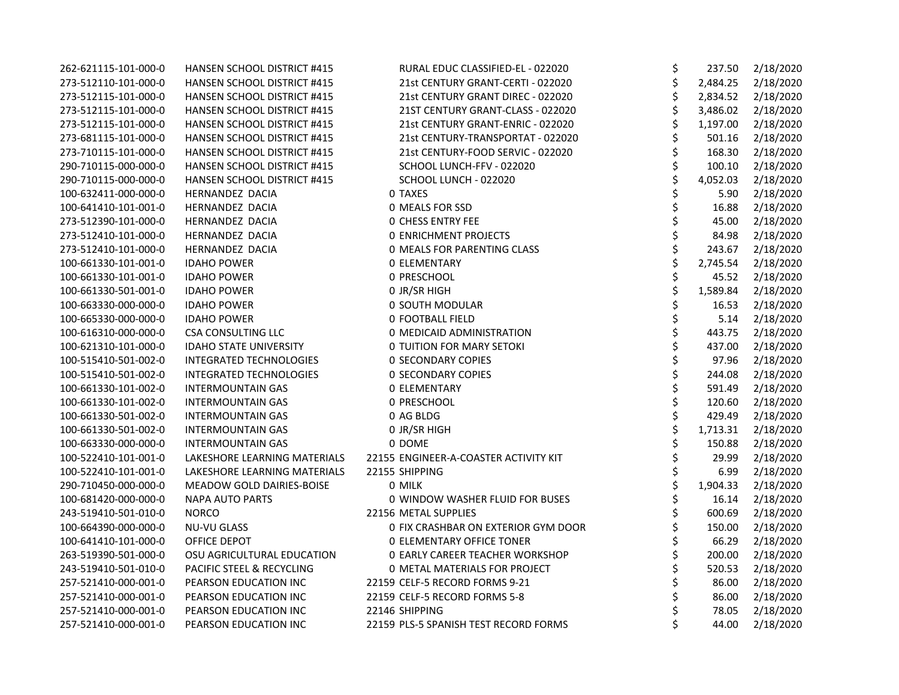| 262-621115-101-000-0 | HANSEN SCHOOL DISTRICT #415        | RURAL EDUC CLASSIFIED-EL - 022020      | \$<br>237.50   | 2/18/2020 |
|----------------------|------------------------------------|----------------------------------------|----------------|-----------|
| 273-512110-101-000-0 | HANSEN SCHOOL DISTRICT #415        | 21st CENTURY GRANT-CERTI - 022020      | \$<br>2,484.25 | 2/18/2020 |
| 273-512115-101-000-0 | HANSEN SCHOOL DISTRICT #415        | 21st CENTURY GRANT DIREC - 022020      | \$<br>2,834.52 | 2/18/2020 |
| 273-512115-101-000-0 | <b>HANSEN SCHOOL DISTRICT #415</b> | 21ST CENTURY GRANT-CLASS - 022020      | \$<br>3,486.02 | 2/18/2020 |
| 273-512115-101-000-0 | HANSEN SCHOOL DISTRICT #415        | 21st CENTURY GRANT-ENRIC - 022020      | \$<br>1,197.00 | 2/18/2020 |
| 273-681115-101-000-0 | HANSEN SCHOOL DISTRICT #415        | 21st CENTURY-TRANSPORTAT - 022020      | \$<br>501.16   | 2/18/2020 |
| 273-710115-101-000-0 | <b>HANSEN SCHOOL DISTRICT #415</b> | 21st CENTURY-FOOD SERVIC - 022020      | \$<br>168.30   | 2/18/2020 |
| 290-710115-000-000-0 | HANSEN SCHOOL DISTRICT #415        | SCHOOL LUNCH-FFV - 022020              | \$<br>100.10   | 2/18/2020 |
| 290-710115-000-000-0 | <b>HANSEN SCHOOL DISTRICT #415</b> | SCHOOL LUNCH - 022020                  | \$<br>4,052.03 | 2/18/2020 |
| 100-632411-000-000-0 | HERNANDEZ DACIA                    | 0 TAXES                                | \$<br>5.90     | 2/18/2020 |
| 100-641410-101-001-0 | HERNANDEZ DACIA                    | 0 MEALS FOR SSD                        | \$<br>16.88    | 2/18/2020 |
| 273-512390-101-000-0 | HERNANDEZ DACIA                    | <b>0 CHESS ENTRY FEE</b>               | 45.00          | 2/18/2020 |
| 273-512410-101-000-0 | HERNANDEZ DACIA                    | <b>0 ENRICHMENT PROJECTS</b>           | \$<br>84.98    | 2/18/2020 |
| 273-512410-101-000-0 | <b>HERNANDEZ DACIA</b>             | <b>0 MEALS FOR PARENTING CLASS</b>     | \$<br>243.67   | 2/18/2020 |
| 100-661330-101-001-0 | <b>IDAHO POWER</b>                 | <b>0 ELEMENTARY</b>                    | \$<br>2,745.54 | 2/18/2020 |
| 100-661330-101-001-0 | <b>IDAHO POWER</b>                 | 0 PRESCHOOL                            | \$<br>45.52    | 2/18/2020 |
| 100-661330-501-001-0 | <b>IDAHO POWER</b>                 | 0 JR/SR HIGH                           | \$<br>1,589.84 | 2/18/2020 |
| 100-663330-000-000-0 | <b>IDAHO POWER</b>                 | 0 SOUTH MODULAR                        | \$<br>16.53    | 2/18/2020 |
| 100-665330-000-000-0 | <b>IDAHO POWER</b>                 | 0 FOOTBALL FIELD                       | \$<br>5.14     | 2/18/2020 |
| 100-616310-000-000-0 | <b>CSA CONSULTING LLC</b>          | 0 MEDICAID ADMINISTRATION              | \$<br>443.75   | 2/18/2020 |
| 100-621310-101-000-0 | <b>IDAHO STATE UNIVERSITY</b>      | <b>0 TUITION FOR MARY SETOKI</b>       | \$<br>437.00   | 2/18/2020 |
| 100-515410-501-002-0 | <b>INTEGRATED TECHNOLOGIES</b>     | <b>0 SECONDARY COPIES</b>              | \$<br>97.96    | 2/18/2020 |
| 100-515410-501-002-0 | <b>INTEGRATED TECHNOLOGIES</b>     | <b>0 SECONDARY COPIES</b>              | \$<br>244.08   | 2/18/2020 |
| 100-661330-101-002-0 | <b>INTERMOUNTAIN GAS</b>           | <b>0 ELEMENTARY</b>                    | \$<br>591.49   | 2/18/2020 |
| 100-661330-101-002-0 | <b>INTERMOUNTAIN GAS</b>           | 0 PRESCHOOL                            | \$<br>120.60   | 2/18/2020 |
| 100-661330-501-002-0 | <b>INTERMOUNTAIN GAS</b>           | 0 AG BLDG                              | \$<br>429.49   | 2/18/2020 |
| 100-661330-501-002-0 | <b>INTERMOUNTAIN GAS</b>           | 0 JR/SR HIGH                           | \$<br>1,713.31 | 2/18/2020 |
| 100-663330-000-000-0 | <b>INTERMOUNTAIN GAS</b>           | 0 DOME                                 | \$<br>150.88   | 2/18/2020 |
| 100-522410-101-001-0 | LAKESHORE LEARNING MATERIALS       | 22155 ENGINEER-A-COASTER ACTIVITY KIT  | \$<br>29.99    | 2/18/2020 |
| 100-522410-101-001-0 | LAKESHORE LEARNING MATERIALS       | 22155 SHIPPING                         | \$<br>6.99     | 2/18/2020 |
| 290-710450-000-000-0 | MEADOW GOLD DAIRIES-BOISE          | 0 MILK                                 | \$<br>1,904.33 | 2/18/2020 |
| 100-681420-000-000-0 | <b>NAPA AUTO PARTS</b>             | 0 WINDOW WASHER FLUID FOR BUSES        | \$<br>16.14    | 2/18/2020 |
| 243-519410-501-010-0 | <b>NORCO</b>                       | 22156 METAL SUPPLIES                   | \$<br>600.69   | 2/18/2020 |
| 100-664390-000-000-0 | <b>NU-VU GLASS</b>                 | 0 FIX CRASHBAR ON EXTERIOR GYM DOOR    | \$<br>150.00   | 2/18/2020 |
| 100-641410-101-000-0 | OFFICE DEPOT                       | 0 ELEMENTARY OFFICE TONER              | \$<br>66.29    | 2/18/2020 |
| 263-519390-501-000-0 | OSU AGRICULTURAL EDUCATION         | <b>0 EARLY CAREER TEACHER WORKSHOP</b> | \$<br>200.00   | 2/18/2020 |
| 243-519410-501-010-0 | PACIFIC STEEL & RECYCLING          | <b>0 METAL MATERIALS FOR PROJECT</b>   | \$<br>520.53   | 2/18/2020 |
| 257-521410-000-001-0 | PEARSON EDUCATION INC              | 22159 CELF-5 RECORD FORMS 9-21         | \$<br>86.00    | 2/18/2020 |
| 257-521410-000-001-0 | PEARSON EDUCATION INC              | 22159 CELF-5 RECORD FORMS 5-8          | \$<br>86.00    | 2/18/2020 |
| 257-521410-000-001-0 | PEARSON EDUCATION INC              | 22146 SHIPPING                         | \$<br>78.05    | 2/18/2020 |
| 257-521410-000-001-0 | PEARSON EDUCATION INC              | 22159 PLS-5 SPANISH TEST RECORD FORMS  | \$<br>44.00    | 2/18/2020 |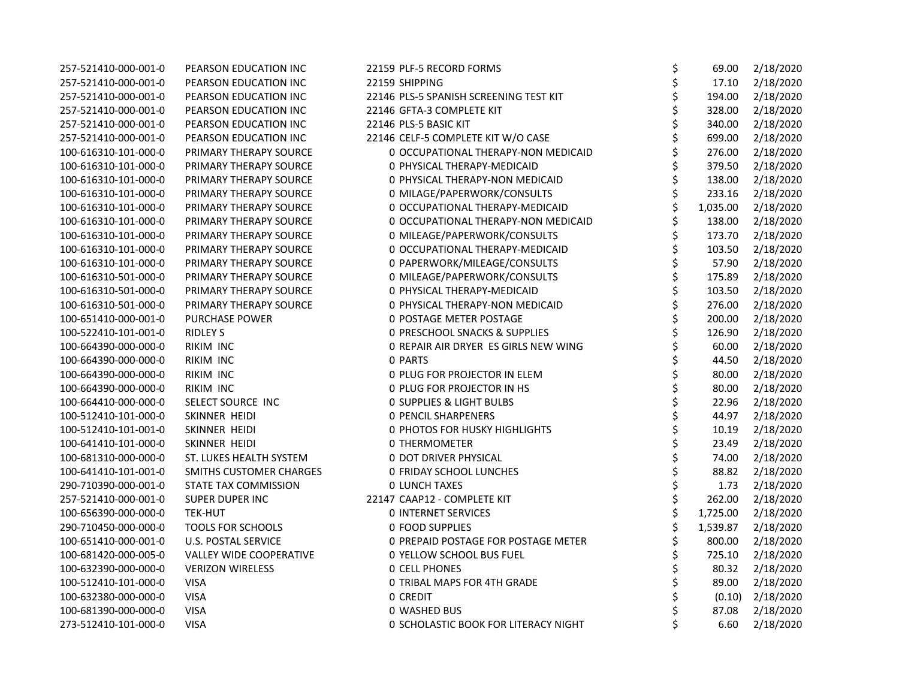| 257-521410-000-001-0 | PEARSON EDUCATION INC          | 22159 PLF-5 RECORD FORMS                 | \$<br>69.00    | 2/18/2020 |
|----------------------|--------------------------------|------------------------------------------|----------------|-----------|
| 257-521410-000-001-0 | PEARSON EDUCATION INC          | 22159 SHIPPING                           | \$<br>17.10    | 2/18/2020 |
| 257-521410-000-001-0 | PEARSON EDUCATION INC          | 22146 PLS-5 SPANISH SCREENING TEST KIT   | \$<br>194.00   | 2/18/2020 |
| 257-521410-000-001-0 | PEARSON EDUCATION INC          | 22146 GFTA-3 COMPLETE KIT                | \$<br>328.00   | 2/18/2020 |
| 257-521410-000-001-0 | PEARSON EDUCATION INC          | 22146 PLS-5 BASIC KIT                    | \$<br>340.00   | 2/18/2020 |
| 257-521410-000-001-0 | PEARSON EDUCATION INC          | 22146 CELF-5 COMPLETE KIT W/O CASE       | 699.00         | 2/18/2020 |
| 100-616310-101-000-0 | PRIMARY THERAPY SOURCE         | 0 OCCUPATIONAL THERAPY-NON MEDICAID      | \$<br>276.00   | 2/18/2020 |
| 100-616310-101-000-0 | PRIMARY THERAPY SOURCE         | 0 PHYSICAL THERAPY-MEDICAID              | \$<br>379.50   | 2/18/2020 |
| 100-616310-101-000-0 | PRIMARY THERAPY SOURCE         | 0 PHYSICAL THERAPY-NON MEDICAID          | \$<br>138.00   | 2/18/2020 |
| 100-616310-101-000-0 | PRIMARY THERAPY SOURCE         | 0 MILAGE/PAPERWORK/CONSULTS              | \$<br>233.16   | 2/18/2020 |
| 100-616310-101-000-0 | PRIMARY THERAPY SOURCE         | 0 OCCUPATIONAL THERAPY-MEDICAID          | \$<br>1,035.00 | 2/18/2020 |
| 100-616310-101-000-0 | PRIMARY THERAPY SOURCE         | 0 OCCUPATIONAL THERAPY-NON MEDICAID      | \$<br>138.00   | 2/18/2020 |
| 100-616310-101-000-0 | PRIMARY THERAPY SOURCE         | 0 MILEAGE/PAPERWORK/CONSULTS             | \$<br>173.70   | 2/18/2020 |
| 100-616310-101-000-0 | PRIMARY THERAPY SOURCE         | 0 OCCUPATIONAL THERAPY-MEDICAID          | \$<br>103.50   | 2/18/2020 |
| 100-616310-101-000-0 | PRIMARY THERAPY SOURCE         | 0 PAPERWORK/MILEAGE/CONSULTS             | \$<br>57.90    | 2/18/2020 |
| 100-616310-501-000-0 | PRIMARY THERAPY SOURCE         | 0 MILEAGE/PAPERWORK/CONSULTS             | \$<br>175.89   | 2/18/2020 |
| 100-616310-501-000-0 | PRIMARY THERAPY SOURCE         | 0 PHYSICAL THERAPY-MEDICAID              | \$<br>103.50   | 2/18/2020 |
| 100-616310-501-000-0 | PRIMARY THERAPY SOURCE         | 0 PHYSICAL THERAPY-NON MEDICAID          | \$<br>276.00   | 2/18/2020 |
| 100-651410-000-001-0 | PURCHASE POWER                 | 0 POSTAGE METER POSTAGE                  | \$<br>200.00   | 2/18/2020 |
| 100-522410-101-001-0 | <b>RIDLEY S</b>                | <b>0 PRESCHOOL SNACKS &amp; SUPPLIES</b> | \$<br>126.90   | 2/18/2020 |
| 100-664390-000-000-0 | RIKIM INC                      | O REPAIR AIR DRYER ES GIRLS NEW WING     | \$<br>60.00    | 2/18/2020 |
| 100-664390-000-000-0 | RIKIM INC                      | 0 PARTS                                  | \$<br>44.50    | 2/18/2020 |
| 100-664390-000-000-0 | RIKIM INC                      | 0 PLUG FOR PROJECTOR IN ELEM             | \$<br>80.00    | 2/18/2020 |
| 100-664390-000-000-0 | RIKIM INC                      | 0 PLUG FOR PROJECTOR IN HS               | \$<br>80.00    | 2/18/2020 |
| 100-664410-000-000-0 | SELECT SOURCE INC              | <b>0 SUPPLIES &amp; LIGHT BULBS</b>      | \$<br>22.96    | 2/18/2020 |
| 100-512410-101-000-0 | SKINNER HEIDI                  | <b>0 PENCIL SHARPENERS</b>               | \$<br>44.97    | 2/18/2020 |
| 100-512410-101-001-0 | SKINNER HEIDI                  | 0 PHOTOS FOR HUSKY HIGHLIGHTS            | \$<br>10.19    | 2/18/2020 |
| 100-641410-101-000-0 | SKINNER HEIDI                  | 0 THERMOMETER                            | \$<br>23.49    | 2/18/2020 |
| 100-681310-000-000-0 | ST. LUKES HEALTH SYSTEM        | <b>0 DOT DRIVER PHYSICAL</b>             | \$<br>74.00    | 2/18/2020 |
| 100-641410-101-001-0 | SMITHS CUSTOMER CHARGES        | 0 FRIDAY SCHOOL LUNCHES                  | \$<br>88.82    | 2/18/2020 |
| 290-710390-000-001-0 | STATE TAX COMMISSION           | <b>0 LUNCH TAXES</b>                     | \$<br>1.73     | 2/18/2020 |
| 257-521410-000-001-0 | SUPER DUPER INC                | 22147 CAAP12 - COMPLETE KIT              | \$<br>262.00   | 2/18/2020 |
| 100-656390-000-000-0 | <b>TEK-HUT</b>                 | <b>0 INTERNET SERVICES</b>               | \$<br>1,725.00 | 2/18/2020 |
| 290-710450-000-000-0 | TOOLS FOR SCHOOLS              | 0 FOOD SUPPLIES                          | \$<br>1,539.87 | 2/18/2020 |
| 100-651410-000-001-0 | <b>U.S. POSTAL SERVICE</b>     | 0 PREPAID POSTAGE FOR POSTAGE METER      | \$<br>800.00   | 2/18/2020 |
| 100-681420-000-005-0 | <b>VALLEY WIDE COOPERATIVE</b> | 0 YELLOW SCHOOL BUS FUEL                 | \$<br>725.10   | 2/18/2020 |
| 100-632390-000-000-0 | <b>VERIZON WIRELESS</b>        | <b>0 CELL PHONES</b>                     | \$<br>80.32    | 2/18/2020 |
| 100-512410-101-000-0 | <b>VISA</b>                    | 0 TRIBAL MAPS FOR 4TH GRADE              | \$<br>89.00    | 2/18/2020 |
| 100-632380-000-000-0 | <b>VISA</b>                    | 0 CREDIT                                 | \$<br>(0.10)   | 2/18/2020 |
| 100-681390-000-000-0 | <b>VISA</b>                    | 0 WASHED BUS                             | \$<br>87.08    | 2/18/2020 |
| 273-512410-101-000-0 | <b>VISA</b>                    | 0 SCHOLASTIC BOOK FOR LITERACY NIGHT     | \$<br>6.60     | 2/18/2020 |